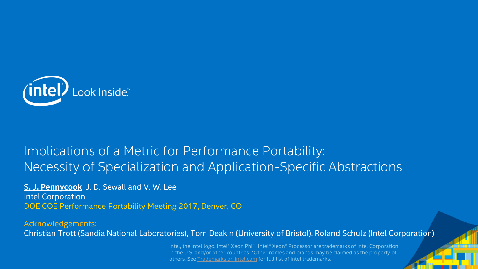

#### Implications of a Metric for Performance Portability: Necessity of Specialization and Application-Specific Abstractions

**S. J. Pennycook**, J. D. Sewall and V. W. Lee Intel Corporation DOE COE Performance Portability Meeting 2017, Denver, CO

Acknowledgements: Christian Trott (Sandia National Laboratories), Tom Deakin (University of Bristol), Roland Schulz (Intel Corporation)

> Intel, the Intel logo, Intel® Xeon Phi™, Intel® Xeon® Processor are trademarks of Intel Corporation in the U.S. and/or other countries. \*Other names and brands may be claimed as the property of others. See [Trademarks on intel.com](http://www.intel.com/sites/corporate/tradmarx.htm) for full list of Intel trademarks.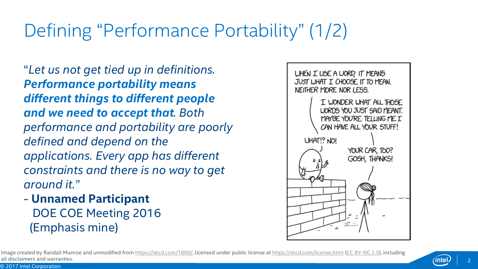# Defining "Performance Portability" (1/2)

"*Let us not get tied up in definitions. Performance portability means different things to different people and we need to accept that. Both performance and portability are poorly defined and depend on the applications. Every app has different constraints and there is no way to get around it."*

- **Unnamed Participant** DOE COE Meeting 2016 (Emphasis mine)



Image created by Randall Munroe and unmodified from <https://xkcd.com/1860/>, licensed under public license at <https://xkcd.com/license.html> [\(CC BY-NC 2.5](https://creativecommons.org/licenses/by-nc/2.5/)), including all disclaimers and warranties.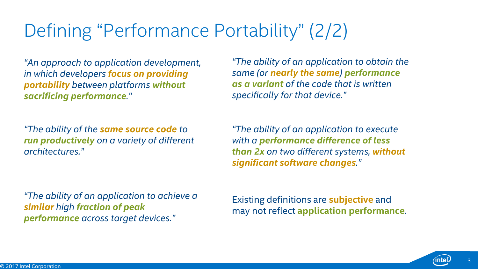# Defining "Performance Portability" (2/2)

*"An approach to application development, in which developers focus on providing portability between platforms without sacrificing performance."*

*"The ability of the same source code to run productively on a variety of different architectures."*

*"The ability of an application to achieve a similar high fraction of peak performance across target devices."*

*"The ability of an application to obtain the same (or nearly the same) performance as a variant of the code that is written specifically for that device."*

*"The ability of an application to execute with a performance difference of less than 2x on two different systems, without significant software changes."*

Existing definitions are **subjective** and may not reflect **application performance**.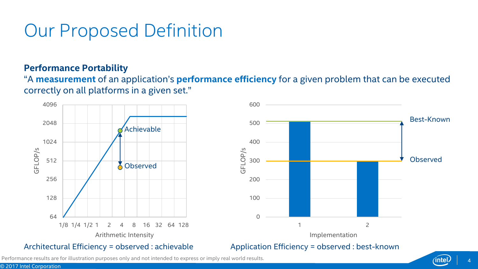# Our Proposed Definition

#### **Performance Portability**

"A **measurement** of an application's **performance efficiency** for a given problem that can be executed correctly on all platforms in a given set."





Performance results are for illustration purposes only and not intended to express or imply real world results.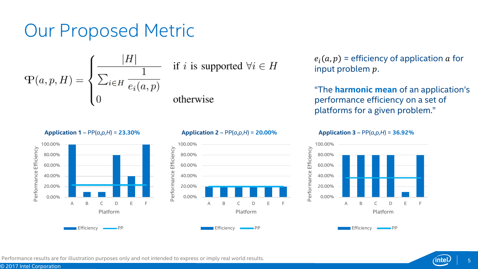#### Our Proposed Metric



 $e_i(a, p)$  = efficiency of application a for input problem  $p$ .

"The **harmonic mean** of an application's performance efficiency on a set of platforms for a given problem."

**Application 3** – PP(*a,p,H*) = **36.92%**







**Application 2** – PP(*a,p,H*) = **20.00%**

Efficiency **WE PP** 

Efficiency **WE**PP

**Application 1** – PP(*a,p,H*) = **23.30%**



A B C D E F



© 2017 Intel Corporation

0.00% 20.00% 40.00% 60.00% 80.00% 100.00%

Performance Efficiency

Performance Efficiency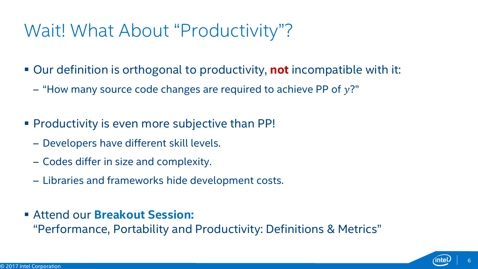#### Wait! What About "Productivity"?

- Our definition is orthogonal to productivity, **not** incompatible with it:
	- $-$  "How many source code changes are required to achieve PP of  $y$ ?"
- Productivity is even more subjective than PP!
	- ‒ Developers have different skill levels.
	- ‒ Codes differ in size and complexity.
	- ‒ Libraries and frameworks hide development costs.
- Attend our **Breakout Session:**

"Performance, Portability and Productivity: Definitions & Metrics"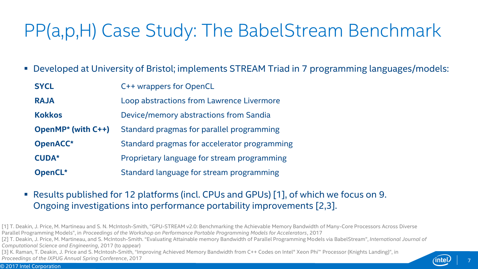# PP(a,p,H) Case Study: The BabelStream Benchmark

Developed at University of Bristol; implements STREAM Triad in 7 programming languages/models:

| <b>SYCL</b>               | C++ wrappers for OpenCL                      |
|---------------------------|----------------------------------------------|
| <b>RAJA</b>               | Loop abstractions from Lawrence Livermore    |
| <b>Kokkos</b>             | Device/memory abstractions from Sandia       |
| <b>OpenMP*</b> (with C++) | Standard pragmas for parallel programming    |
| OpenACC*                  | Standard pragmas for accelerator programming |
| <b>CUDA*</b>              | Proprietary language for stream programming  |
| OpenCL*                   | Standard language for stream programming     |

- Results published for 12 platforms (incl. CPUs and GPUs) [1], of which we focus on 9. Ongoing investigations into performance portability improvements [2,3].
- [1] T. Deakin, J. Price, M. Martineau and S. N. McIntosh-Smith, "GPU-STREAM v2.0: Benchmarking the Achievable Memory Bandwidth of Many-Core Processors Across Diverse Parallel Programming Models", in *Proceedings of the Workshop on Performance Portable Programming Models for Accelerators*, 2017
- [2] T. Deakin, J. Price, M. Martineau, and S. McIntosh-Smith. "Evaluating Attainable memory Bandwidth of Parallel Programming Models via BabelStream", *International Journal of Computational Science and Engineering*, 2017 (to appear)

[3] K. Raman, T. Deakin, J. Price and S. McIntosh-Smith, "Improving Achieved Memory Bandwidth from C++ Codes on Intel® Xeon Phi™ Processor (Knights Landing)", in *Proceedings of the IXPUG Annual Spring Conference*, 2017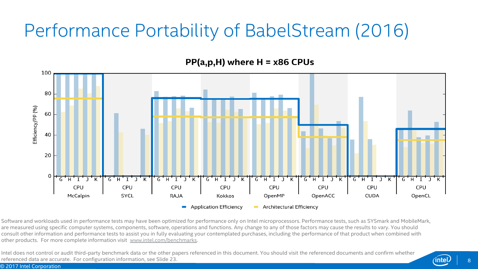# Performance Portability of BabelStream (2016)

 $PP(a,p,H)$  where H = x86 CPUs



Software and workloads used in performance tests may have been optimized for performance only on Intel microprocessors. Performance tests, such as SYSmark and MobileMark, are measured using specific computer systems, components, software, operations and functions. Any change to any of those factors may cause the results to vary. You should consult other information and performance tests to assist you in fully evaluating your contemplated purchases, including the performance of that product when combined with other products. For more complete information visit [www.intel.com/benchmarks.](http://www.intel.com/benchmarks)

Intel does not control or audit third-party benchmark data or the other papers referenced in this document. You should visit the referenced documents and confirm whether referenced data are accurate. For configuration information, see Slide 23.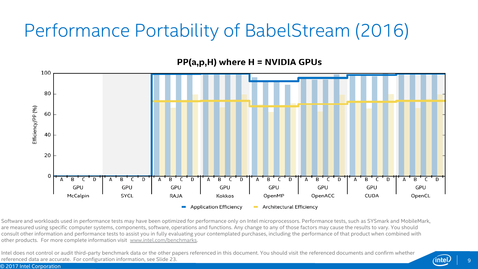# Performance Portability of BabelStream (2016)



Software and workloads used in performance tests may have been optimized for performance only on Intel microprocessors. Performance tests, such as SYSmark and MobileMark, are measured using specific computer systems, components, software, operations and functions. Any change to any of those factors may cause the results to vary. You should consult other information and performance tests to assist you in fully evaluating your contemplated purchases, including the performance of that product when combined with other products. For more complete information visit [www.intel.com/benchmarks.](http://www.intel.com/benchmarks)

Intel does not control or audit third-party benchmark data or the other papers referenced in this document. You should visit the referenced documents and confirm whether referenced data are accurate. For configuration information, see Slide 23.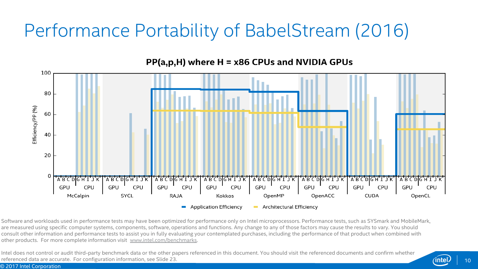# Performance Portability of BabelStream (2016)



 $PP(a,p,H)$  where H = x86 CPUs and NVIDIA GPUs

Software and workloads used in performance tests may have been optimized for performance only on Intel microprocessors. Performance tests, such as SYSmark and MobileMark, are measured using specific computer systems, components, software, operations and functions. Any change to any of those factors may cause the results to vary. You should consult other information and performance tests to assist you in fully evaluating your contemplated purchases, including the performance of that product when combined with other products. For more complete information visit [www.intel.com/benchmarks.](http://www.intel.com/benchmarks)

Intel does not control or audit third-party benchmark data or the other papers referenced in this document. You should visit the referenced documents and confirm whether referenced data are accurate. For configuration information, see Slide 23.

© 2017 Intel Corporation

10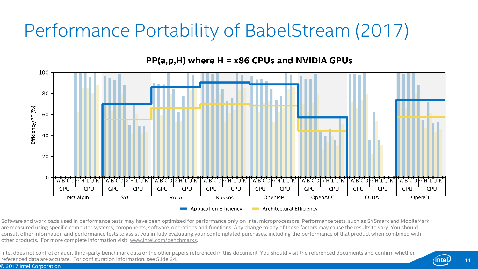# Performance Portability of BabelStream (2017)



 $PP(a,p,H)$  where H = x86 CPUs and NVIDIA GPUs

Software and workloads used in performance tests may have been optimized for performance only on Intel microprocessors. Performance tests, such as SYSmark and MobileMark, are measured using specific computer systems, components, software, operations and functions. Any change to any of those factors may cause the results to vary. You should consult other information and performance tests to assist you in fully evaluating your contemplated purchases, including the performance of that product when combined with other products. For more complete information visit [www.intel.com/benchmarks.](http://www.intel.com/benchmarks)

Intel does not control or audit third-party benchmark data or the other papers referenced in this document. You should visit the referenced documents and confirm whether referenced data are accurate. For configuration information, see Slide 24.

© 2017 Intel Corporation

11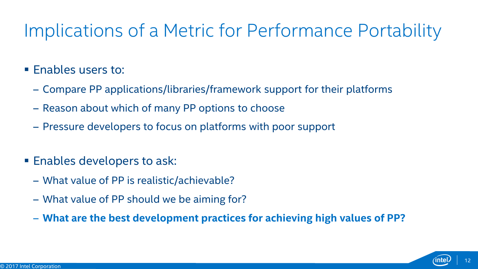# Implications of a Metric for Performance Portability

#### **Enables users to:**

- ‒ Compare PP applications/libraries/framework support for their platforms
- ‒ Reason about which of many PP options to choose
- ‒ Pressure developers to focus on platforms with poor support
- **Enables developers to ask:** 
	- ‒ What value of PP is realistic/achievable?
	- ‒ What value of PP should we be aiming for?
	- ‒ **What are the best development practices for achieving high values of PP?**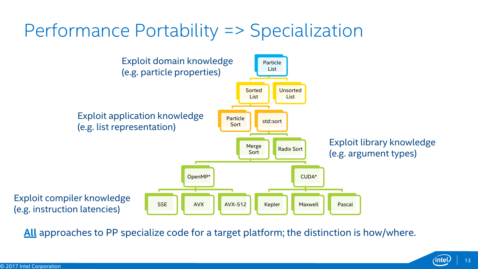### Performance Portability => Specialization



**All** approaches to PP specialize code for a target platform; the distinction is how/where.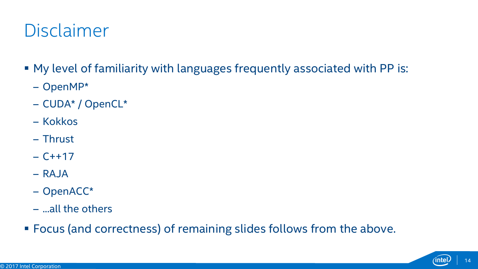### Disclaimer

- My level of familiarity with languages frequently associated with PP is:
	- ‒ OpenMP\*
	- ‒ CUDA\* / OpenCL\*
	- ‒ Kokkos
	- ‒ Thrust
	- $C+17$
	- $-$  RAJA
	- ‒ OpenACC\*
	- ‒ ...all the others
- Focus (and correctness) of remaining slides follows from the above.

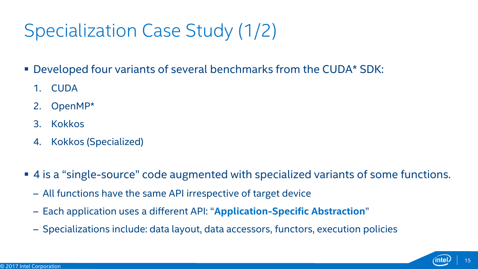# Specialization Case Study (1/2)

- Developed four variants of several benchmarks from the CUDA\* SDK:
	- 1. CUDA
	- 2. OpenMP\*
	- 3. Kokkos
	- 4. Kokkos (Specialized)
- 4 is a "single-source" code augmented with specialized variants of some functions.
	- ‒ All functions have the same API irrespective of target device
	- ‒ Each application uses a different API: "**Application-Specific Abstraction**"
	- ‒ Specializations include: data layout, data accessors, functors, execution policies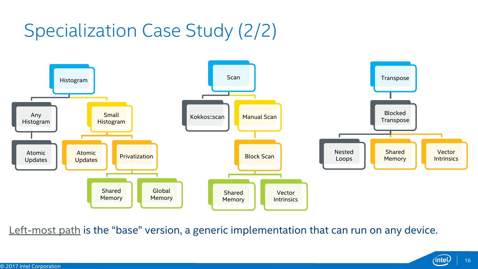# Specialization Case Study (2/2)



Left-most path is the "base" version, a generic implementation that can run on any device.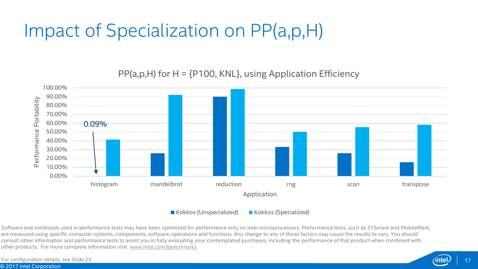# Impact of Specialization on PP(a,p,H)

100.00% 90.00% Performance Portability Portability 80.00% 70.00% 60.00% 0.09%Performance 50.00% 40.00% 30.00% 20.00% 10.00% 0.00% histogram mandelbrot reduction rng scan transpose Application

 $PP(a,p,H)$  for  $H = \{P100, KNL\}$ , using Application Efficiency

■ Kokkos (Unspecialized) ■ Kokkos (Specialized)

Software and workloads used in performance tests may have been optimized for performance only on Intel microprocessors. Performance tests, such as SYSmark and MobileMark, are measured using specific computer systems, components, software, operations and functions. Any change to any of those factors may cause the results to vary. You should consult other information and performance tests to assist you in fully evaluating your contemplated purchases, including the performance of that product when combined with other products. For more complete information visit [www.intel.com/benchmarks](http://www.intel.com/benchmarks)

© 2017 Intel Corporation For configuration details, see Slide 25.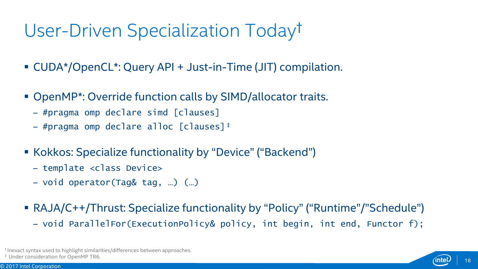# User-Driven Specialization Today†

- CUDA\*/OpenCL\*: Query API + Just-in-Time (JIT) compilation.
- OpenMP\*: Override function calls by SIMD/allocator traits.
	- ‒ #pragma omp declare simd [clauses]
	- ‒ #pragma omp declare alloc [clauses] ‡
- Kokkos: Specialize functionality by "Device" ("Backend")
	- ‒ template <class Device>
	- ‒ void operator(Tag& tag, …) (…)
- RAJA/C++/Thrust: Specialize functionality by "Policy" ("Runtime"/"Schedule")
	- ‒ void ParallelFor(ExecutionPolicy& policy, int begin, int end, Functor f);

† Inexact syntax used to highlight similarities/differences between approaches.

‡ Under consideration for OpenMP TR6.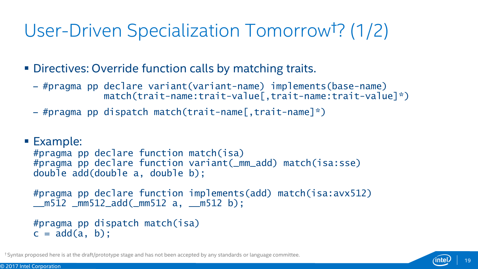# User-Driven Specialization Tomorrow†? (1/2)

**Directives: Override function calls by matching traits.** 

- ‒ #pragma pp declare variant(variant-name) implements(base-name) match(trait-name:trait-value[,trait-name:trait-value]\*)
- ‒ #pragma pp dispatch match(trait-name[,trait-name]\*)

#### ■ Example:

```
#pragma pp declare function match(isa)
#pragma pp declare function variant(_mm_add) match(isa:sse)
double add(double a, double b);
```

```
#pragma pp declare function implements(add) match(isa:avx512)
__m512 _mm512_add(_mm512 a, __m512 b);
```

```
#pragma pp dispatch match(isa)
c = add(a, b);
```
† Syntax proposed here is at the draft/prototype stage and has not been accepted by any standards or language committee.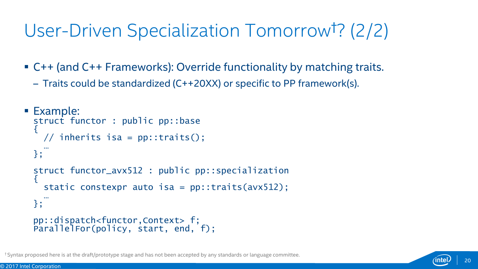# User-Driven Specialization Tomorrow†? (2/2)

- C++ (and C++ Frameworks): Override functionality by matching traits.
	- ‒ Traits could be standardized (C++20XX) or specific to PP framework(s).

```
■ Example:
 struct functor : public pp::base
  {
   // inherits isa = pp::traits();
    …
 };
 struct functor_avx512 : public pp::specialization
  {
   static constexpr auto isa = pp::traits(avx512);
    …
 };
 pp::dispatch<functor,Context> f;
 ParallelFor(policy, start, end, f);
```
† Syntax proposed here is at the draft/prototype stage and has not been accepted by any standards or language committee.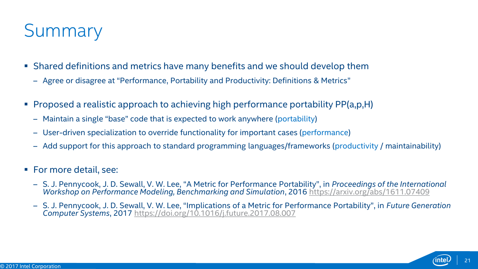# **Summary**

- Shared definitions and metrics have many benefits and we should develop them
	- ‒ Agree or disagree at "Performance, Portability and Productivity: Definitions & Metrics"
- **Proposed a realistic approach to achieving high performance portability PP(a,p,H)** 
	- ‒ Maintain a single "base" code that is expected to work anywhere (portability)
	- ‒ User-driven specialization to override functionality for important cases (performance)
	- ‒ Add support for this approach to standard programming languages/frameworks (productivity / maintainability)
- **For more detail, see:** 
	- ‒ S. J. Pennycook, J. D. Sewall, V. W. Lee, "A Metric for Performance Portability", in *Proceedings of the International Workshop on Performance Modeling, Benchmarking and Simulation*, 2016 <https://arxiv.org/abs/1611.07409>
	- ‒ S. J. Pennycook, J. D. Sewall, V. W. Lee, "Implications of a Metric for Performance Portability", in *Future Generation Computer Systems*, 2017<https://doi.org/10.1016/j.future.2017.08.007>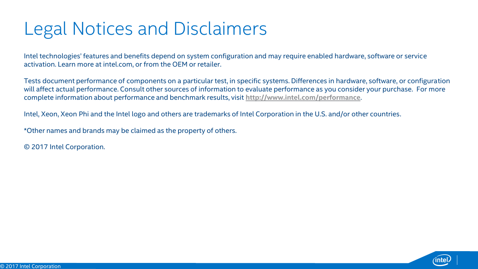# Legal Notices and Disclaimers

Intel technologies' features and benefits depend on system configuration and may require enabled hardware, software or service activation. Learn more at intel.com, or from the OEM or retailer.

Tests document performance of components on a particular test, in specific systems. Differences in hardware, software, or configuration will affect actual performance. Consult other sources of information to evaluate performance as you consider your purchase. For more complete information about performance and benchmark results, visit **<http://www.intel.com/performance>**.

Intel, Xeon, Xeon Phi and the Intel logo and others are trademarks of Intel Corporation in the U.S. and/or other countries.

\*Other names and brands may be claimed as the property of others.

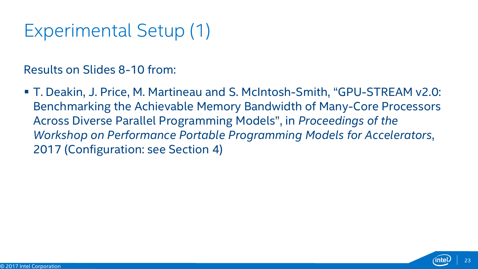# Experimental Setup (1)

Results on Slides 8-10 from:

 T. Deakin, J. Price, M. Martineau and S. McIntosh-Smith, "GPU-STREAM v2.0: Benchmarking the Achievable Memory Bandwidth of Many-Core Processors Across Diverse Parallel Programming Models", in *Proceedings of the Workshop on Performance Portable Programming Models for Accelerators*, 2017 (Configuration: see Section 4)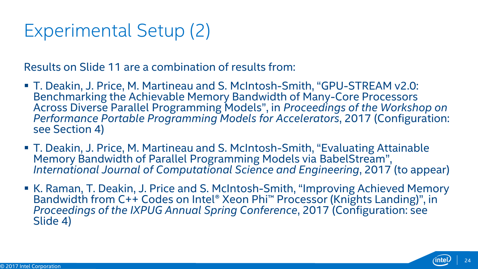# Experimental Setup (2)

Results on Slide 11 are a combination of results from:

- T. Deakin, J. Price, M. Martineau and S. McIntosh-Smith, "GPU-STREAM v2.0: Benchmarking the Achievable Memory Bandwidth of Many-Core Processors Across Diverse Parallel Programming Models", in *Proceedings of the Workshop on Performance Portable Programming Models for Accelerators*, 2017 (Configuration: see Section 4)
- T. Deakin, J. Price, M. Martineau and S. McIntosh-Smith, "Evaluating Attainable Memory Bandwidth of Parallel Programming Models via BabelStream", *International Journal of Computational Science and Engineering*, 2017 (to appear)
- K. Raman, T. Deakin, J. Price and S. McIntosh-Smith, "Improving Achieved Memory Bandwidth from C++ Codes on Intel® Xeon Phi™ Processor (Knights Landing)", in *Proceedings of the IXPUG Annual Spring Conference*, 2017 (Configuration: see Slide 4)

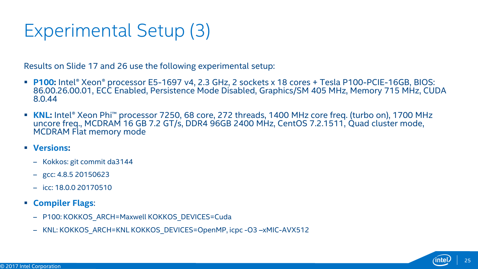# Experimental Setup (3)

Results on Slide 17 and 26 use the following experimental setup:

- **P100:** Intel® Xeon® processor E5-1697 v4, 2.3 GHz, 2 sockets x 18 cores + Tesla P100-PCIE-16GB, BIOS: 86.00.26.00.01, ECC Enabled, Persistence Mode Disabled, Graphics/SM 405 MHz, Memory 715 MHz, CUDA 8.0.44
- KNL: Intel® Xeon Phi™ processor 7250, 68 core, 272 threads, 1400 MHz core freq. (turbo on), 1700 MHz uncore freq., MCDRAM 16 GB 7.2 GT/s, DDR4 96GB 2400 MHz, CentOS 7.2.1511, Quad cluster mode, MCDRAM Flat memory mode
- **Versions:**
	- ‒ Kokkos: git commit da3144
	- $-$  gcc: 4.8.5 20150623
	- $-$  icc: 18.0.0 20170510
- **Compiler Flags**:
	- P100: KOKKOS\_ARCH=Maxwell KOKKOS\_DEVICES=Cuda
	- KNL: KOKKOS\_ARCH=KNL KOKKOS\_DEVICES=OpenMP, icpc -O3 –xMIC-AVX512

25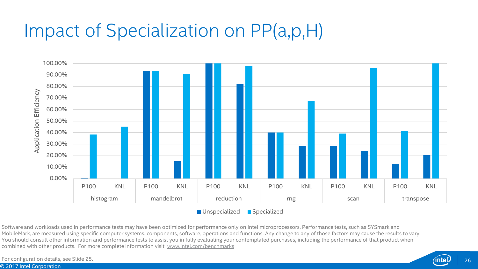# Impact of Specialization on PP(a,p,H)



Software and workloads used in performance tests may have been optimized for performance only on Intel microprocessors. Performance tests, such as SYSmark and MobileMark, are measured using specific computer systems, components, software, operations and functions. Any change to any of those factors may cause the results to vary. You should consult other information and performance tests to assist you in fully evaluating your contemplated purchases, including the performance of that product when combined with other products. For more complete information visit [www.intel.com/benchmarks](http://www.intel.com/benchmarks)

© 2017 Intel Corporation For configuration details, see Slide 25.